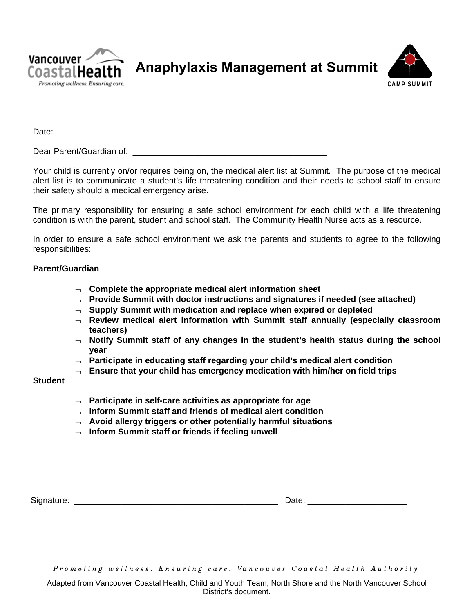

**Anaphylaxis Management at Summit**



Date:

Dear Parent/Guardian of: \_\_\_\_\_\_\_\_\_\_\_\_\_\_\_\_\_\_\_\_\_\_\_\_\_\_\_\_\_\_\_\_\_\_\_\_\_\_\_\_\_

Your child is currently on/or requires being on, the medical alert list at Summit. The purpose of the medical alert list is to communicate a student's life threatening condition and their needs to school staff to ensure their safety should a medical emergency arise.

The primary responsibility for ensuring a safe school environment for each child with a life threatening condition is with the parent, student and school staff. The Community Health Nurse acts as a resource.

In order to ensure a safe school environment we ask the parents and students to agree to the following responsibilities:

## **Parent/Guardian**

- ¬ **Complete the appropriate medical alert information sheet**
- ¬ **Provide Summit with doctor instructions and signatures if needed (see attached)**
- ¬ **Supply Summit with medication and replace when expired or depleted**
- ¬ **Review medical alert information with Summit staff annually (especially classroom teachers)**
- ¬ **Notify Summit staff of any changes in the student's health status during the school year**
- ¬ **Participate in educating staff regarding your child's medical alert condition**
- ¬ **Ensure that your child has emergency medication with him/her on field trips**

## **Student**

- ¬ **Participate in self-care activities as appropriate for age**
- ¬ **Inform Summit staff and friends of medical alert condition**
- ¬ **Avoid allergy triggers or other potentially harmful situations**
- ¬ **Inform Summit staff or friends if feeling unwell**

| ~.<br>510 | --<br>$  -$ |
|-----------|-------------|
|-----------|-------------|

Promoting wellness. Ensuring care. Vancouver Coastal Health Authority

Adapted from Vancouver Coastal Health, Child and Youth Team, North Shore and the North Vancouver School District's document.